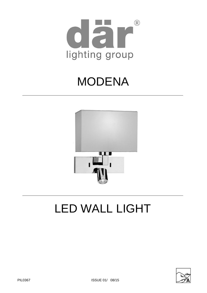

# MODENA



# LED WALL LIGHT

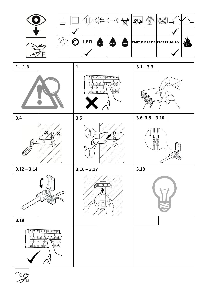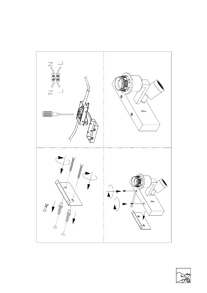

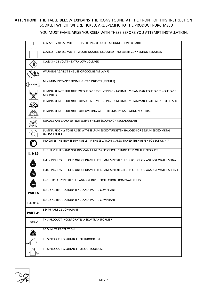### **ATTENTION!** THE TABLE BELOW EXPLAINS THE ICONS FOUND AT THE FRONT OF THIS INSTRUCTION BOOKLET WHICH, WHERE TICKED, ARE SPECIFIC TO THE PRODUCT PURCHASED

YOU MUST FAMILIARISE YOURSELF WITH THESE BEFORE YOU ATTEMPT INSTALLATION.

|                     | CLASS 1-230-250 VOLTS-THIS FITTING REQUIRES A CONNECTION TO EARTH                                           |
|---------------------|-------------------------------------------------------------------------------------------------------------|
|                     | CLASS 2 - 230-250 VOLTS - 2 CORE DOUBLE INSULATED - NO EARTH CONNECTION REQUIRED                            |
|                     | CLASS 3-12 VOLTS-EXTRA LOW VOLTAGE                                                                          |
| COOL<br><b>BEAM</b> | WARNING AGAINST THE USE OF COOL BEAM LAMPS                                                                  |
| - m $\mathbb{Z}$    | MINIMUM DISTANCE FROM LIGHTED OBJECTS (METRES)                                                              |
|                     | LUMINAIRE NOT SUITABLE FOR SURFACE MOUNTING ON NORMALLY FLAMMABLE SURFACES - SURFACE<br><b>MOUNTED</b>      |
|                     | LUMINAIRE NOT SUITABLE FOR SURFACE MOUNTING ON NORMALLY FLAMMABLE SURFACES - RECESSED                       |
|                     | LUMINAIRE NOT SUITABLE FOR COVERING WITH THERMALLY INSULATING MATERIAL                                      |
|                     | REPLACE ANY CRACKED PROTECTIVE SHIELDS (ROUND OR RECTANGULAR)                                               |
|                     | LUMINAIRE ONLY TO BE USED WITH SELF-SHIELDED TUNGSTEN HALOGEN OR SELF SHIELDED METAL<br><b>HALIDE LAMPS</b> |
|                     | INDICATES THE ITEM IS DIMMABLE - IF THE SELV ICON IS ALSO TICKED THEN REFER TO SECTION 4.7                  |
| <b>LED</b>          | THE ITEM IS LED AND NOT DIMMABLE UNLESS SPECIFICALLY INDICATED ON THE PRODUCT                               |
| <b>IP43</b>         | IP43 - INGRESS OF SOLID OBJECT DIAMETER 1.0MM IS PROTECTED. PROTECTION AGAINST WATER SPRAY                  |
| <b>IP44</b>         | IP44 - INGRESS OF SOLID OBJECT DIAMETER 1.0MM IS PROTECTED. PROTECTION AGAINST WATER SPLASH                 |
| <b>IP65</b>         | IP65 - TOTALLY PROTECTED AGAINST DUST. PROTECTION FROM WATER JETS                                           |
| <b>PART C</b>       | BUILDING REGULATIONS (ENGLAND) PART C COMPLIANT                                                             |
| <b>PART E</b>       | BUILDING REGULATIONS (ENGLAND) PART E COMPLIANT                                                             |
| <b>PART 21</b>      | <b>BS476 PART 21 COMPLIANT</b>                                                                              |
| <b>SELV</b>         | THIS PRODUCT INCORPORATES A SELV TRANSFORMER                                                                |
|                     | <b>60 MINUTE PROTECTION</b>                                                                                 |
|                     | THIS PRODUCT IS SUITABLE FOR INDOOR USE                                                                     |
|                     | THIS PRODUCT IS SUITABLE FOR OUTDOOR USE                                                                    |

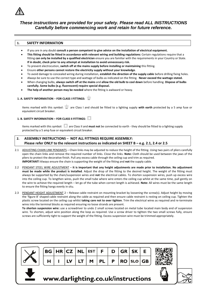

## *These instructions are provided for your safety. Please read ALL INSTRUCTIONS Carefully before commencing work and retain for future reference.*

#### **1. SAFETY INFORMATION**

- If you are in any doubt **consult a person competent to give advice on the installation of electrical equipment.**
- **This fitting should be fitted in accordance with relevant wiring and building regulations:** Certain regulations require that a fitting **can only be installed by a qualified electrician** ensure you are familiar with the requirements in your Country or State. **If in doubt, check prior to any attempt at installation to avoid unnecessary risk.**
- To prevent electrocution, **switch off at the mains supply before installing or maintaining** this fitting.
- Ensure **other persons cannot restore the electricity supply without your knowledge**.
- To avoid damage to concealed wiring during installation, **establish the direction of the supply cable** before drilling fixing holes.
- Always be sure to use the correct type and wattage of bulbs as indicated on the fitting. **Never exceed the wattage stated.**
- When changing bulbs, **always switch off at the mains** and **allow the old bulb to cool down** before handling. **Dispose of bulbs carefully. Some bulbs (e.g. fluorescent) require special disposal.**
- **The help of another person may be needed** where the fitting is awkward or heavy.

### **1. A. SAFETY INFORMATION** – **FOR CLASS I FITTINGS:**

Items marked with this symbol:  $\pm$  are Class I and should be fitted to a lighting supply with earth protected by a 5 amp fuse or equivalent circuit breaker.

#### **1. B. SAFETY INFORMATION – FOR CLASS II FITTINGS:**

Items marked with this symbol:  $\Box$  are Class II and must not be connected to earth - they should be fitted to a lighting supply protected by a 5 amp fuse or equivalent circuit breaker.

#### **2. ASSEMBLY INSTRUCTIONS** – **NOT ALL FITTINGS REQUIRE ASSEMBLY: Please refer ONLY to the relevant instructions as indicated on SHEET B – e.g. 2.1, 2.4 or 2.5**

- 2.1 ADJUSTING CHAIN LINK PENDANTS Chain links may be adjusted to reduce the height of the fitting. Using two pairs of pliers carefully open the chain links and remove the required number of links. Close the links. **Note:** Cloth should be used between the jaws of the pliers to protect the decorative finish. Pull any excess cable through the ceiling cup and trim as required. **IMPORTANT!** Always ensure the chain is supporting the weight of the fitting and **not** the supply cable.
- 2.2 PENDANT STEEL WIRE ADJUSTMENT **It is important that any height adjustments are made prior to installation. No adjustment must be made while the product is installed**. Adjust the drop of the fitting to the desired height. The weight of the fitting must always be supported by the chain/suspension wires and **not** the electrical cables. To shorten suspension wires, push up excess wire into the ceiling cup. To lengthen wires, push the small tube where wire enters the ceiling cup whilst at the same time, pull gently on the wire to achieve the required length – let go of the tube when correct length is achieved. **Note:** All wires must be the same length to ensure the fitting hangs evenly in situ.

2.3 PENDANT HEIGHT ADJUSTMENT 2 – Release cable restraint on mounting bracket by loosening the screw(s). Adjust height by moving the 'figure 8' shaped cable restraint along the cable as required and then ensure cable restraint is resting on ceiling cup. Tighten the plastic screw located on the ceiling cup whilst **taking care not to over tighten**. Trim the electrical wires as required and re-terminate wires into the terminal blocks as required ensuring no loose strands are present. **To shorten suspension wire:** use a screwdriver to undo 2 small screws located on metal tube located main body end of suspension wire. To shorten, adjust wire position along the loop as required. Use a screw driver to tighten the two small screws fully, ensure

screws are sufficiently tight to support the weight of the fitting. Excess suspension wire must be trimmed appropriately.

| $\sqrt{\mathsf{BG}}$ HR CZ NL EST $\mathsf{F}$ D GR SK $\mathsf{E}$ |  |  |                                                  |  |  |  |
|---------------------------------------------------------------------|--|--|--------------------------------------------------|--|--|--|
|                                                                     |  |  | $H   I   LV   LT   M   PL   P   RO   SLO   GB  $ |  |  |  |





# www.darlighting.co.uk/instructions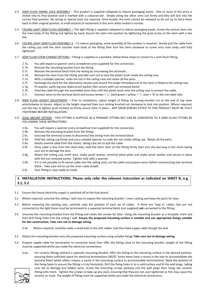- 2.4 SEMI FLUSH SWING LOCK ASSEMBLY This product is supplied collapsed to reduce packaging waste. One or more of the arms is locked into its final position and is marked with a coloured dot. Simply swing the other arms out firmly and they will lock into the correct final position. No wiring or special tools are required. Once locked, the arms cannot be released so do not try to force them back to their original position. A small amount of movement in the arms when locked is normal.
- 2.5 CEILING LIGHT SEMI FLUSH ASSEMBLY This light fitting is supplied collapsed to reduce packaging waste. Screw the central stem into the main body of the fitting and tighten by hand. Secure the stem into position by tightening the grub screw on the stem with a Hex key.
- 2.6 CEILING LIGHT SEMI FLUSH ASSEMBLY 2 To reduce packaging, some assembly of this product is required. Gently pull the cable from the ceiling cup until the stem touches main body of the fitting then turn the stem clockwise to screw onto main body until fully tightened.
- 2.7 SEMI FLUSH STEM CHANGE OPTIONS Fitting is supplied as a pendant, follow these steps to convert to a semi flush fitting.
	- 2.7a. You will require a spanner and a screwdriver (not supplied) for this conversion.
	- 2.7b. Remove the mounting bracket from the fitting.
	- 2.7c. Remove the terminal block from the wiring by unscrewing the terminals.
	- 2.7d. Remove the stem from the fitting and take care not to lose the plastic bush inside the ceiling rose.
	- 2.7e. With a suitable spanner, undo the nut in the ceiling rose and retain all the parts.
	- 2.7f. Exchange the stem for the alternative version and ensure the longer threaded end of the stem is fitted to the ceiling rose.
	- 2.7g. Fit washer, earth lug and shake proof washer then secure with nut removed earlier.
	- 2.7h. Feed the cable through the assembled stem then refit the plastic bush onto the ceiling rose to protect the cable.
	- 2.7i. Connect wires to the terminal block and ensure brown = 'L', both green / yellow =  $\frac{1}{x}$ , blue = 'N' to the non-label side.
- 2.8 SEMI FLUSH HEIGHT ADJUSTMENT Prior to installation, adjust height of fitting by turning knurled nut at the end of top stem anticlockwise to loosen. Adjust to the height required then turn locking knurled nut clockwise to lock into position. Where required, use Hex key to tighten grub screw(s) to firmly secure stem in place – ANY GRUB SCREWS FITTED TO THIS PRODUCT MUST BE FULLY TIGHTENED BEFORE INSTALLATION.
- 2.9 DUAL MOUNT OPTION THIS FITTING IS SUPPLIED AS A PENDANT FITTING BUT CAN BE CONVERTED TO A SEMI FLUSH FITTING BY FOLLOWING THESE INSTRUCTIONS:
	- 2.9a. You will require a spanner and a screwdriver (not supplied) for this conversion.
	- 2.9b. Remove the mounting bracket from the fitting.
	- 2.9c. Unscrew the terminal screws to disconnect the wiring from the terminal block
	- 2.9d. Hold the ceiling cup firmly and use a suitable spanner to undo the nut inside ceiling cup. Retain all the parts.
	- 2.9e. Gently unwind cable from the chains, taking care not to pull the cable.
	- 2.9f. Once cable is free from the chain links, hold the short stem on the fitting firmly then turn the last loop in the chain taking care not to damage the wire.
	- 2.9g. Attach the ceiling cup, earth wire, shake proof washer, terminal block plate and shake proof washer and secure in place with the nut removed earlier. Tighten fully with a spanner.
	- 2.9h. If it is not possible to fit excess cable into the ceiling void, cut the cable and prepare wires before reconnecting into terminal block – Take care not to cut the inner cable sheath.
	- 2.9i. Your fitting is now ready to install.

#### **3. INSTALLATION INSTRUCTIONS: Please only refer the relevant instruction as indicated on SHEET B, e.g. 3.1, 3.2**

- 3.1 Ensure the house electricity supply is switched off at the fuse board.
- 3.2 Where required, unscrew the ceiling / wall rose to expose the mounting bracket / cover casting and keep the parts for later.
- 3.3 Before removing the existing rose, carefully note the position of each set of cables. If there are 'loop in' cables that are not connected to the light these must be terminated in a separate terminal block (not supplied) **not** connected to the fitting.
- 3.4 Unscrew the mounting bracket from the fitting and retain the screws for later. Using the mounting bracket as a template mark and then drill fixing holes into the ceiling / wall. **Ensure the proposed mounting surface is suitable and use appropriate fixings suitable for this construction. Take care not to damage wiring.**
	- 3.4a Where required, carefully make a small hole in the soft rubber seal then feed supply cable though the seal.
- 3.5 Attach the mounting bracket onto the prepared mounting surface using suitable fixings **Take care not to damage wiring**.
- 3.6 Prepare supply cable for termination to connector block then offer the fitting close to the mounting bracket, weight of the fitting must be supported whilst you make the electrical connections.
	- 3.6a. For ceramic fittings without a separate mounting bracket, offer the fitting to the mounting surface in the desired position, ensuring there sufficient space for electrical terminations (NOTE: Some items have a recess in the rear to accommodate the terminal block whilst others require a cavity in the mounting surface to accommodate terminations). Mark the position of the fixing holes to ensure the fitting is truly horizontal. Drill the fixing holes in to a solid surface and fit the wall plugs, taking care not to damage any hidden wires. Screw the mounting screws partway into the wall plugs then 'hang' the ceramic fitting onto them. Tighten the screws to take up any slack, ensuring that they are not over tightened as this may cause the ceramic to crack. The weight of fitting must be supported whilst you make the electrical connections.